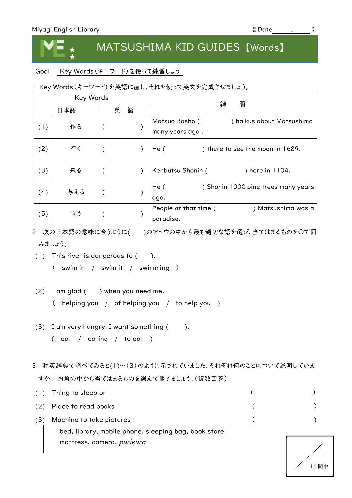★

## MATSUSHIMA KID GUIDES 【Words】

Goal | Key Words (キーワード)を使って練習しよう

1 Key Words(キーワード)を英語に直し,それを使って英文を完成させましょう。

|     | Key Words |        | 練<br>習                                                         |
|-----|-----------|--------|----------------------------------------------------------------|
| 日本語 |           | 語<br>英 |                                                                |
| (1) | 作る        |        | Matsuo Basho (<br>) haikus about Matsushima<br>many years ago. |
| (2) | 行く        |        | He(<br>) there to see the moon in 1689.                        |
| (3) | 来る        |        | Kenbutsu Shonin (<br>) here in $1104$ .                        |
| (4) | 与える       |        | He(<br>) Shonin 1000 pine trees many years<br>ago.             |
| (5) | 言う        |        | ) Matsushima was a<br>People at that time (<br>paradise.       |

2 次の日本語の意味に合うように( )のア~ウの中から最も適切な語を選び,当てはまるものを〇で囲 みましょう。

- (1) This river is dangerous to ( ).
	- ( swim in / swim it / swimming )
- $(2)$  I am glad  $($  ) when you need me.
	- ( helping you / of helping you / to help you )
- (3) I am very hungry. I want something  $($ ( eat / eating / to eat )
- 3 和英辞典で調べてみると(1)~(3)のように示されていました。それぞれ何のことについて説明していま すか。 四角の中から当てはまるものを選んで書きましょう。(複数回答)

|     | Thing to sleep on                                                                  |      |
|-----|------------------------------------------------------------------------------------|------|
| (2) | Place to read books                                                                |      |
| (3) | Machine to take pictures                                                           |      |
|     | bed, library, mobile phone, sleeping bag, book store<br>mattress, camera, purikura |      |
|     |                                                                                    | 6 問中 |